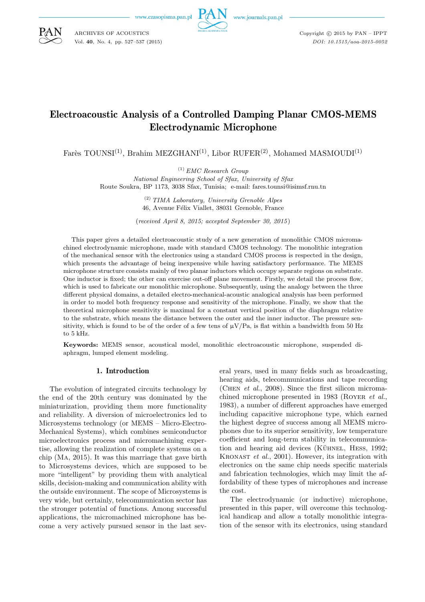ARCHIVES OF ACOUSTICS Vol. **40**, No. 4, pp. 527–537 (2015)



Copyright  $\odot$  2015 by PAN - IPPT *DOI: 10.1515/aoa-2015-0052*

# Electroacoustic Analysis of a Controlled Damping Planar CMOS-MEMS Electrodynamic Microphone

Farès TOUNSI<sup>(1)</sup>, Brahim MEZGHANI<sup>(1)</sup>, Libor RUFER<sup>(2)</sup>, Mohamed MASMOUDI<sup>(1)</sup>

(1) *EMC Research Group*

*National Engineering School of Sfax, University of Sfax* Route Soukra, BP 1173, 3038 Sfax, Tunisia; e-mail: fares.tounsi@isimsf.rnu.tn

> (2) *TIMA Laboratory, University Grenoble Alpes* 46, Avenue Félix Viallet, 38031 Grenoble, France

(*received April 8, 2015; accepted September 30, 2015*)

This paper gives a detailed electroacoustic study of a new generation of monolithic CMOS micromachined electrodynamic microphone, made with standard CMOS technology. The monolithic integration of the mechanical sensor with the electronics using a standard CMOS process is respected in the design, which presents the advantage of being inexpensive while having satisfactory performance. The MEMS microphone structure consists mainly of two planar inductors which occupy separate regions on substrate. One inductor is fixed; the other can exercise out-off plane movement. Firstly, we detail the process flow, which is used to fabricate our monolithic microphone. Subsequently, using the analogy between the three different physical domains, a detailed electro-mechanical-acoustic analogical analysis has been performed in order to model both frequency response and sensitivity of the microphone. Finally, we show that the theoretical microphone sensitivity is maximal for a constant vertical position of the diaphragm relative to the substrate, which means the distance between the outer and the inner inductor. The pressure sensitivity, which is found to be of the order of a few tens of  $\mu V/Pa$ , is flat within a bandwidth from 50 Hz to 5 kHz.

**Keywords:** MEMS sensor, acoustical model, monolithic electroacoustic microphone, suspended diaphragm, lumped element modeling.

### 1. Introduction

The evolution of integrated circuits technology by the end of the 20th century was dominated by the miniaturization, providing them more functionality and reliability. A diversion of microelectronics led to Microsystems technology (or MEMS – Micro-Electro-Mechanical Systems), which combines semiconductor microelectronics process and micromachining expertise, allowing the realization of complete systems on a chip (Ma, 2015). It was this marriage that gave birth to Microsystems devices, which are supposed to be more "intelligent" by providing them with analytical skills, decision-making and communication ability with the outside environment. The scope of Microsystems is very wide, but certainly, telecommunication sector has the stronger potential of functions. Among successful applications, the micromachined microphone has become a very actively pursued sensor in the last several years, used in many fields such as broadcasting, hearing aids, telecommunications and tape recording (Chen *et al.*, 2008). Since the first silicon micromachined microphone presented in 1983 (Royer *et al.*, 1983), a number of different approaches have emerged including capacitive microphone type, which earned the highest degree of success among all MEMS microphones due to its superior sensitivity, low temperature coefficient and long-term stability in telecommunication and hearing aid devices  $(K\ddot{\text{U}}$ HESS, 1992; Kronast *et al.*, 2001). However, its integration with electronics on the same chip needs specific materials and fabrication technologies, which may limit the affordability of these types of microphones and increase the cost.

The electrodynamic (or inductive) microphone, presented in this paper, will overcome this technological handicap and allow a totally monolithic integration of the sensor with its electronics, using standard

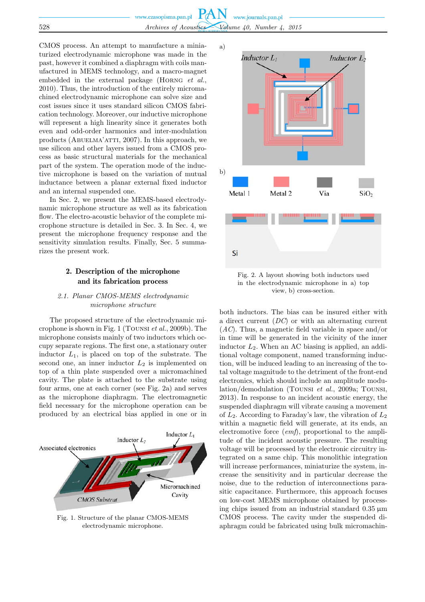

CMOS process. An attempt to manufacture a miniaturized electrodynamic microphone was made in the past, however it combined a diaphragm with coils manufactured in MEMS technology, and a macro-magnet embedded in the external package (Horng *et al.*, 2010). Thus, the introduction of the entirely micromachined electrodynamic microphone can solve size and cost issues since it uses standard silicon CMOS fabrication technology. Moreover, our inductive microphone will represent a high linearity since it generates both even and odd-order harmonics and inter-modulation products (ABUELMA'ATTI, 2007). In this approach, we use silicon and other layers issued from a CMOS process as basic structural materials for the mechanical part of the system. The operation mode of the inductive microphone is based on the variation of mutual inductance between a planar external fixed inductor and an internal suspended one.

In Sec. 2, we present the MEMS-based electrodynamic microphone structure as well as its fabrication flow. The electro-acoustic behavior of the complete microphone structure is detailed in Sec. 3. In Sec. 4, we present the microphone frequency response and the sensitivity simulation results. Finally, Sec. 5 summarizes the present work.

# 2. Description of the microphone and its fabrication process

### *2.1. Planar CMOS-MEMS electrodynamic microphone structure*

The proposed structure of the electrodynamic microphone is shown in Fig. 1 (Tounsi *et al.*, 2009b). The microphone consists mainly of two inductors which occupy separate regions. The first one, a stationary outer inductor  $L_1$ , is placed on top of the substrate. The second one, an inner inductor  $L_2$  is implemented on top of a thin plate suspended over a micromachined cavity. The plate is attached to the substrate using four arms, one at each corner (see Fig. 2a) and serves as the microphone diaphragm. The electromagnetic field necessary for the microphone operation can be produced by an electrical bias applied in one or in



Fig. 1. Structure of the planar CMOS-MEMS electrodynamic microphone.



Fig. 2. A layout showing both inductors used in the electrodynamic microphone in a) top view, b) cross-section.

both inductors. The bias can be insured either with a direct current (*DC*) or with an alternating current (*AC*). Thus, a magnetic field variable in space and/or in time will be generated in the vicinity of the inner inductor  $L_2$ . When an AC biasing is applied, an additional voltage component, named transforming induction, will be induced leading to an increasing of the total voltage magnitude to the detriment of the front-end electronics, which should include an amplitude modulation/demodulation (Tounsi *et al.*, 2009a; Tounsi, 2013). In response to an incident acoustic energy, the suspended diaphragm will vibrate causing a movement of  $L_2$ . According to Faraday's law, the vibration of  $L_2$ within a magnetic field will generate, at its ends, an electromotive force (*emf*), proportional to the amplitude of the incident acoustic pressure. The resulting voltage will be processed by the electronic circuitry integrated on a same chip. This monolithic integration will increase performances, miniaturize the system, increase the sensitivity and in particular decrease the noise, due to the reduction of interconnections parasitic capacitance. Furthermore, this approach focuses on low-cost MEMS microphone obtained by processing chips issued from an industrial standard  $0.35 \mu m$ CMOS process. The cavity under the suspended diaphragm could be fabricated using bulk micromachin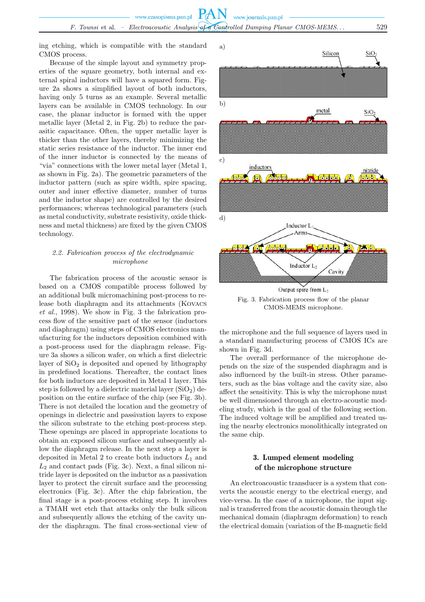ing etching, which is compatible with the standard CMOS process.

Because of the simple layout and symmetry properties of the square geometry, both internal and external spiral inductors will have a squared form. Figure 2a shows a simplified layout of both inductors, having only 5 turns as an example. Several metallic layers can be available in CMOS technology. In our case, the planar inductor is formed with the upper metallic layer (Metal 2, in Fig. 2b) to reduce the parasitic capacitance. Often, the upper metallic layer is thicker than the other layers, thereby minimizing the static series resistance of the inductor. The inner end of the inner inductor is connected by the means of "via" connections with the lower metal layer (Metal 1, as shown in Fig. 2a). The geometric parameters of the inductor pattern (such as spire width, spire spacing, outer and inner effective diameter, number of turns and the inductor shape) are controlled by the desired performances; whereas technological parameters (such as metal conductivity, substrate resistivity, oxide thickness and metal thickness) are fixed by the given CMOS technology.

## *2.2. Fabrication process of the electrodynamic microphone*

The fabrication process of the acoustic sensor is based on a CMOS compatible process followed by an additional bulk micromachining post-process to release both diaphragm and its attachments (Kovacs *et al.*, 1998). We show in Fig. 3 the fabrication process flow of the sensitive part of the sensor (inductors and diaphragm) using steps of CMOS electronics manufacturing for the inductors deposition combined with a post-process used for the diaphragm release. Figure 3a shows a silicon wafer, on which a first dielectric layer of  $SiO<sub>2</sub>$  is deposited and opened by lithography in predefined locations. Thereafter, the contact lines for both inductors are deposited in Metal 1 layer. This step is followed by a dielectric material layer  $(SiO<sub>2</sub>)$  deposition on the entire surface of the chip (see Fig. 3b). There is not detailed the location and the geometry of openings in dielectric and passivation layers to expose the silicon substrate to the etching post-process step. These openings are placed in appropriate locations to obtain an exposed silicon surface and subsequently allow the diaphragm release. In the next step a layer is deposited in Metal 2 to create both inductors  $L_1$  and  $L_2$  and contact pads (Fig. 3c). Next, a final silicon nitride layer is deposited on the inductor as a passivation layer to protect the circuit surface and the processing electronics (Fig. 3c). After the chip fabrication, the final stage is a post-process etching step. It involves a TMAH wet etch that attacks only the bulk silicon and subsequently allows the etching of the cavity under the diaphragm. The final cross-sectional view of



Fig. 3. Fabrication process flow of the planar CMOS-MEMS microphone.

the microphone and the full sequence of layers used in a standard manufacturing process of CMOS ICs are shown in Fig. 3d.

The overall performance of the microphone depends on the size of the suspended diaphragm and is also influenced by the built-in stress. Other parameters, such as the bias voltage and the cavity size, also affect the sensitivity. This is why the microphone must be well dimensioned through an electro-acoustic modeling study, which is the goal of the following section. The induced voltage will be amplified and treated using the nearby electronics monolithically integrated on the same chip.

# 3. Lumped element modeling of the microphone structure

An electroacoustic transducer is a system that converts the acoustic energy to the electrical energy, and vice-versa. In the case of a microphone, the input signal is transferred from the acoustic domain through the mechanical domain (diaphragm deformation) to reach the electrical domain (variation of the B-magnetic field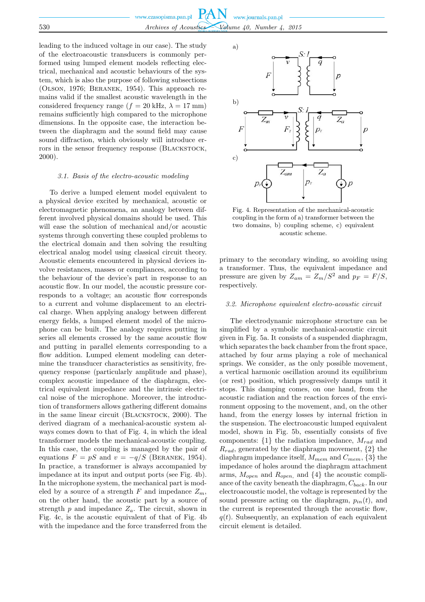leading to the induced voltage in our case). The study of the electroacoustic transducers is commonly performed using lumped element models reflecting electrical, mechanical and acoustic behaviours of the system, which is also the purpose of following subsections (Olson, 1976; Beranek, 1954). This approach remains valid if the smallest acoustic wavelength in the considered frequency range ( $f = 20$  kHz,  $\lambda = 17$  mm) remains sufficiently high compared to the microphone dimensions. In the opposite case, the interaction between the diaphragm and the sound field may cause sound diffraction, which obviously will introduce errors in the sensor frequency response (BLACKSTOCK, 2000).

#### *3.1. Basis of the electro-acoustic modeling*

To derive a lumped element model equivalent to a physical device excited by mechanical, acoustic or electromagnetic phenomena, an analogy between different involved physical domains should be used. This will ease the solution of mechanical and/or acoustic systems through converting these coupled problems to the electrical domain and then solving the resulting electrical analog model using classical circuit theory. Acoustic elements encountered in physical devices involve resistances, masses or compliances, according to the behaviour of the device's part in response to an acoustic flow. In our model, the acoustic pressure corresponds to a voltage; an acoustic flow corresponds to a current and volume displacement to an electrical charge. When applying analogy between different energy fields, a lumped element model of the microphone can be built. The analogy requires putting in series all elements crossed by the same acoustic flow and putting in parallel elements corresponding to a flow addition. Lumped element modeling can determine the transducer characteristics as sensitivity, frequency response (particularly amplitude and phase), complex acoustic impedance of the diaphragm, electrical equivalent impedance and the intrinsic electrical noise of the microphone. Moreover, the introduction of transformers allows gathering different domains in the same linear circuit (BLACKSTOCK, 2000). The derived diagram of a mechanical-acoustic system always comes down to that of Fig. 4, in which the ideal transformer models the mechanical-acoustic coupling. In this case, the coupling is managed by the pair of equations  $F = pS$  and  $v = -q/S$  (BERANEK, 1954). In practice, a transformer is always accompanied by impedance at its input and output ports (see Fig. 4b). In the microphone system, the mechanical part is modeled by a source of a strength F and impedance  $Z_m$ , on the other hand, the acoustic part by a source of strength  $p$  and impedance  $Z_a$ . The circuit, shown in Fig. 4c, is the acoustic equivalent of that of Fig. 4b with the impedance and the force transferred from the



Fig. 4. Representation of the mechanical-acoustic coupling in the form of a) transformer between the two domains, b) coupling scheme, c) equivalent acoustic scheme.

primary to the secondary winding, so avoiding using a transformer. Thus, the equivalent impedance and pressure are given by  $Z_{am} = Z_m/S^2$  and  $p_F = F/S$ , respectively.

#### *3.2. Microphone equivalent electro-acoustic circuit*

The electrodynamic microphone structure can be simplified by a symbolic mechanical-acoustic circuit given in Fig. 5a. It consists of a suspended diaphragm, which separates the back chamber from the front space, attached by four arms playing a role of mechanical springs. We consider, as the only possible movement, a vertical harmonic oscillation around its equilibrium (or rest) position, which progressively damps until it stops. This damping comes, on one hand, from the acoustic radiation and the reaction forces of the environment opposing to the movement, and, on the other hand, from the energy losses by internal friction in the suspension. The electroacoustic lumped equivalent model, shown in Fig. 5b, essentially consists of five components:  $\{1\}$  the radiation impedance,  $M_{rad}$  and  $R_{rad}$ , generated by the diaphragm movement,  $\{2\}$  the diaphragm impedance itself,  $M_{mem}$  and  $C_{mem}$ , {3} the impedance of holes around the diaphragm attachment arms,  $M_{open}$  and  $R_{open}$ , and  $\{4\}$  the acoustic compliance of the cavity beneath the diaphragm,  $C_{back}$ . In our electroacoustic model, the voltage is represented by the sound pressure acting on the diaphragm,  $p_{in}(t)$ , and the current is represented through the acoustic flow,  $q(t)$ . Subsequently, an explanation of each equivalent circuit element is detailed.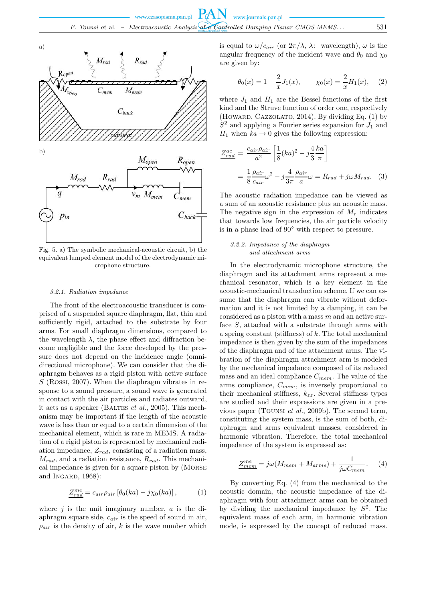

Fig. 5. a) The symbolic mechanical-acoustic circuit, b) the equivalent lumped element model of the electrodynamic microphone structure.

#### *3.2.1. Radiation impedance*

The front of the electroacoustic transducer is comprised of a suspended square diaphragm, flat, thin and sufficiently rigid, attached to the substrate by four arms. For small diaphragm dimensions, compared to the wavelength  $\lambda$ , the phase effect and diffraction become negligible and the force developed by the pressure does not depend on the incidence angle (omnidirectional microphone). We can consider that the diaphragm behaves as a rigid piston with active surface  $S$  (Rossi, 2007). When the diaphragm vibrates in response to a sound pressure, a sound wave is generated in contact with the air particles and radiates outward, it acts as a speaker (BALTES *et al.*, 2005). This mechanism may be important if the length of the acoustic wave is less than or equal to a certain dimension of the mechanical element, which is rare in MEMS. A radiation of a rigid piston is represented by mechanical radiation impedance,  $Z_{rad}$ , consisting of a radiation mass,  $M_{rad}$ , and a radiation resistance,  $R_{rad}$ . This mechanical impedance is given for a square piston by (Morse and INGARD, 1968):

$$
\underline{Z_{rad}^{me}} = c_{air}\rho_{air} \left[\theta_0(ka) - j\chi_0(ka)\right],\tag{1}
$$

where  $j$  is the unit imaginary number,  $a$  is the diaphragm square side,  $c_{air}$  is the speed of sound in air,  $\rho_{air}$  is the density of air, k is the wave number which

is equal to  $\omega/c_{air}$  (or  $2\pi/\lambda$ ,  $\lambda$ : wavelength),  $\omega$  is the angular frequency of the incident wave and  $\theta_0$  and  $\chi_0$ are given by:

$$
\theta_0(x) = 1 - \frac{2}{x}J_1(x), \qquad \chi_0(x) = \frac{2}{x}H_1(x),
$$
 (2)

where  $J_1$  and  $H_1$  are the Bessel functions of the first kind and the Struve function of order one, respectively (HOWARD, CAZZOLATO, 2014). By dividing Eq. (1) by  $S<sup>2</sup>$  and applying a Fourier series expansion for  $J<sub>1</sub>$  and  $H_1$  when  $ka \rightarrow 0$  gives the following expression:

$$
\frac{Z_{rad}^{ac}}{Z_{rad}^{ac}} = \frac{c_{air}\rho_{air}}{a^2} \left[ \frac{1}{8} (ka)^2 - j\frac{4}{3} \frac{ka}{\pi} \right]
$$

$$
= \frac{1}{8} \frac{\rho_{air}}{c_{air}} \omega^2 - j\frac{4}{3\pi} \frac{\rho_{air}}{a} \omega = R_{rad} + j\omega M_{rad}.
$$
 (3)

The acoustic radiation impedance can be viewed as a sum of an acoustic resistance plus an acoustic mass. The negative sign in the expression of  $M_r$  indicates that towards low frequencies, the air particle velocity is in a phase lead of 90◦ with respect to pressure.

#### *3.2.2. Impedance of the diaphragm and attachment arms*

In the electrodynamic microphone structure, the diaphragm and its attachment arms represent a mechanical resonator, which is a key element in the acoustic-mechanical transduction scheme. If we can assume that the diaphragm can vibrate without deformation and it is not limited by a damping, it can be considered as a piston with a mass  $m$  and an active surface S, attached with a substrate through arms with a spring constant (stiffness) of  $k$ . The total mechanical impedance is then given by the sum of the impedances of the diaphragm and of the attachment arms. The vibration of the diaphragm attachment arm is modeled by the mechanical impedance composed of its reduced mass and an ideal compliance  $C_{mem}$ . The value of the arms compliance,  $C_{mem}$ , is inversely proportional to their mechanical stiffness,  $k_{zz}$ . Several stiffness types are studied and their expressions are given in a previous paper (Tounsi *et al.*, 2009b). The second term, constituting the system mass, is the sum of both, diaphragm and arms equivalent masses, considered in harmonic vibration. Therefore, the total mechanical impedance of the system is expressed as:

$$
\underline{Z_{mem}^{me}} = j\omega(M_{mem} + M_{arms}) + \frac{1}{j\omega C_{mem}}.\tag{4}
$$

By converting Eq. (4) from the mechanical to the acoustic domain, the acoustic impedance of the diaphragm with four attachment arms can be obtained by dividing the mechanical impedance by  $S^2$ . The equivalent mass of each arm, in harmonic vibration mode, is expressed by the concept of reduced mass.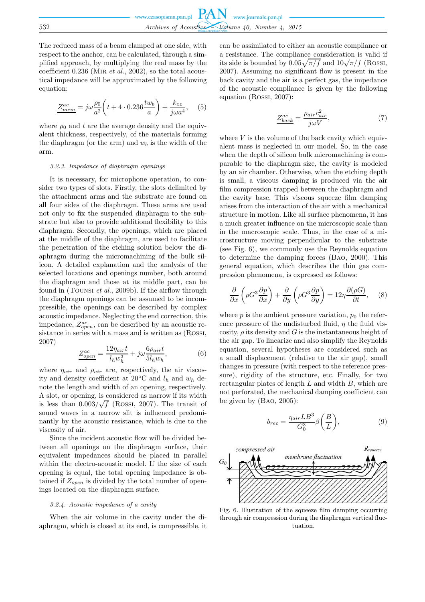The reduced mass of a beam clamped at one side, with respect to the anchor, can be calculated, through a simplified approach, by multiplying the real mass by the coefficient 0.236 (Mir *et al.*, 2002), so the total acoustical impedance will be approximated by the following equation:

$$
\underline{Z_{mem}^{ac}} = j\omega \frac{\rho_0}{a^2} \left( t + 4 \cdot 0.236 \frac{tw_b}{a} \right) + \frac{k_{zz}}{j\omega a^4}, \quad (5)
$$

where  $\rho_0$  and t are the average density and the equivalent thickness, respectively, of the materials forming the diaphragm (or the arm) and  $w<sub>b</sub>$  is the width of the arm.

#### *3.2.3. Impedance of diaphragm openings*

It is necessary, for microphone operation, to consider two types of slots. Firstly, the slots delimited by the attachment arms and the substrate are found on all four sides of the diaphragm. These arms are used not only to fix the suspended diaphragm to the substrate but also to provide additional flexibility to this diaphragm. Secondly, the openings, which are placed at the middle of the diaphragm, are used to facilitate the penetration of the etching solution below the diaphragm during the micromachining of the bulk silicon. A detailed explanation and the analysis of the selected locations and openings number, both around the diaphragm and those at its middle part, can be found in (Tounsi *et al.*, 2009b). If the airflow through the diaphragm openings can be assumed to be incompressible, the openings can be described by complex acoustic impedance. Neglecting the end correction, this impedance,  $Z_{open}^{ac}$ , can be described by an acoustic resistance in series with a mass and is written as (Rossi, 2007)

$$
Z_{open}^{ac} = \frac{12\eta_{air}t}{l_h w_h^3} + j\omega \frac{6\rho_{air}t}{5l_h w_h},\tag{6}
$$

where  $\eta_{air}$  and  $\rho_{air}$  are, respectively, the air viscosity and density coefficient at 20 $\mathrm{^{\circ}C}$  and  $l_h$  and  $w_h$  denote the length and width of an opening, respectively. A slot, or opening, is considered as narrow if its width is less than  $0.003/\sqrt{f}$  (Rossi, 2007). The transit of sound waves in a narrow slit is influenced predominantly by the acoustic resistance, which is due to the viscosity of air.

Since the incident acoustic flow will be divided between all openings on the diaphragm surface, their equivalent impedances should be placed in parallel within the electro-acoustic model. If the size of each opening is equal, the total opening impedance is obtained if  $Z_{open}$  is divided by the total number of openings located on the diaphragm surface.

#### *3.2.4. Acoustic impedance of a cavity*

When the air volume in the cavity under the diaphragm, which is closed at its end, is compressible, it can be assimilated to either an acoustic compliance or a resistance. The compliance consideration is valid if its side is bounded by  $0.05\sqrt{\pi/f}$  and  $10\sqrt{\pi/f}$  (Rossi, 2007). Assuming no significant flow is present in the back cavity and the air is a perfect gas, the impedance of the acoustic compliance is given by the following equation (Rossi, 2007):

$$
\frac{Z_{back}^{ac}}{j\omega V} = \frac{\rho_{air}c_{air}^2}{j\omega V},\tag{7}
$$

where  $V$  is the volume of the back cavity which equivalent mass is neglected in our model. So, in the case when the depth of silicon bulk micromachining is comparable to the diaphragm size, the cavity is modeled by an air chamber. Otherwise, when the etching depth is small, a viscous damping is produced via the air film compression trapped between the diaphragm and the cavity base. This viscous squeeze film damping arises from the interaction of the air with a mechanical structure in motion. Like all surface phenomena, it has a much greater influence on the microscopic scale than in the macroscopic scale. Thus, in the case of a microstructure moving perpendicular to the substrate (see Fig. 6), we commonly use the Reynolds equation to determine the damping forces (Bao, 2000). This general equation, which describes the thin gas compression phenomena, is expressed as follows:

$$
\frac{\partial}{\partial x}\left(\rho G^3 \frac{\partial p}{\partial x}\right) + \frac{\partial}{\partial y}\left(\rho G^3 \frac{\partial p}{\partial y}\right) = 12\eta \frac{\partial(\rho G)}{\partial t}, \quad (8)
$$

where  $p$  is the ambient pressure variation,  $p_0$  the reference pressure of the undisturbed fluid,  $\eta$  the fluid viscosity,  $\rho$  its density and G is the instantaneous height of the air gap. To linearize and also simplify the Reynolds equation, several hypotheses are considered such as a small displacement (relative to the air gap), small changes in pressure (with respect to the reference pressure), rigidity of the structure, etc. Finally, for two rectangular plates of length  $L$  and width  $B$ , which are not perforated, the mechanical damping coefficient can be given by (Bao, 2005):

$$
b_{rec} = \frac{\eta_{air} L B^3}{G_0^3} \beta \left(\frac{B}{L}\right),\tag{9}
$$



Fig. 6. Illustration of the squeeze film damping occurring through air compression during the diaphragm vertical fluctuation.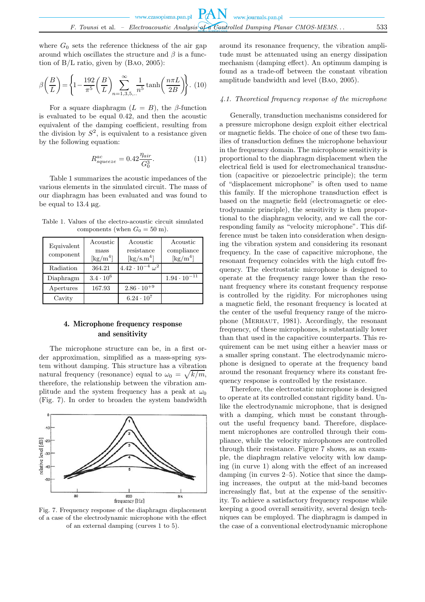where  $G_0$  sets the reference thickness of the air gap around which oscillates the structure and  $\beta$  is a function of B/L ratio, given by (Bao, 2005):

$$
\beta\left(\frac{B}{L}\right) = \left\{1 - \frac{192}{\pi^5} \left(\frac{B}{L}\right) \sum_{n=1,3,5,\dots}^{\infty} \frac{1}{n^5} \tanh\left(\frac{n\pi L}{2B}\right)\right\}.
$$
 (10)

For a square diaphragm  $(L = B)$ , the  $\beta$ -function is evaluated to be equal 0.42, and then the acoustic equivalent of the damping coefficient, resulting from the division by  $S^2$ , is equivalent to a resistance given by the following equation:

$$
R_{squeeze}^{ac} = 0.42 \frac{\eta_{air}}{G_0^3}.\tag{11}
$$

Table 1 summarizes the acoustic impedances of the various elements in the simulated circuit. The mass of our diaphragm has been evaluated and was found to be equal to  $13.4 \mu$ g.

Table 1. Values of the electro-acoustic circuit simulated components (when  $G_0 = 50$  m).

| Equivalent<br>component | Acoustic<br>mass<br>$\left[\mathrm{kg/m^4}\right]$ | Acoustic<br>resistance<br>$\left[\mathrm{kg/s.m^4}\right]$ | Acoustic<br>compliance<br>$\left[\mathrm{kg/m^4}\right]$ |
|-------------------------|----------------------------------------------------|------------------------------------------------------------|----------------------------------------------------------|
| Radiation               | 364.21                                             | $4.42 \cdot 10^{-4} \omega^2$                              |                                                          |
| Diaphragm               | $3.4 \cdot 10^6$                                   |                                                            | $1.94 \cdot 10^{-11}$                                    |
| Apertures               | 167.93                                             | $2.86 \cdot 10^{+9}$                                       |                                                          |
| Cavity                  |                                                    | $6.24 \cdot 10^7$                                          |                                                          |

# 4. Microphone frequency response and sensitivity

The microphone structure can be, in a first order approximation, simplified as a mass-spring system without damping. This structure has a vibration natural frequency (resonance) equal to  $\omega_0 = \sqrt{k/m}$ , therefore, the relationship between the vibration amplitude and the system frequency has a peak at  $\omega_0$ (Fig. 7). In order to broaden the system bandwidth



Fig. 7. Frequency response of the diaphragm displacement of a case of the electrodynamic microphone with the effect of an external damping (curves 1 to 5).

around its resonance frequency, the vibration amplitude must be attenuated using an energy dissipation mechanism (damping effect). An optimum damping is found as a trade-off between the constant vibration amplitude bandwidth and level (Bao, 2005).

#### *4.1. Theoretical frequency response of the microphone*

Generally, transduction mechanisms considered for a pressure microphone design exploit either electrical or magnetic fields. The choice of one of these two families of transduction defines the microphone behaviour in the frequency domain. The microphone sensitivity is proportional to the diaphragm displacement when the electrical field is used for electromechanical transduction (capacitive or piezoelectric principle); the term of "displacement microphone" is often used to name this family. If the microphone transduction effect is based on the magnetic field (electromagnetic or electrodynamic principle), the sensitivity is then proportional to the diaphragm velocity, and we call the corresponding family as "velocity microphone". This difference must be taken into consideration when designing the vibration system and considering its resonant frequency. In the case of capacitive microphone, the resonant frequency coincides with the high cutoff frequency. The electrostatic microphone is designed to operate at the frequency range lower than the resonant frequency where its constant frequency response is controlled by the rigidity. For microphones using a magnetic field, the resonant frequency is located at the center of the useful frequency range of the microphone (Merhaut, 1981). Accordingly, the resonant frequency, of these microphones, is substantially lower than that used in the capacitive counterparts. This requirement can be met using either a heavier mass or a smaller spring constant. The electrodynamic microphone is designed to operate at the frequency band around the resonant frequency where its constant frequency response is controlled by the resistance.

Therefore, the electrostatic microphone is designed to operate at its controlled constant rigidity band. Unlike the electrodynamic microphone, that is designed with a damping, which must be constant throughout the useful frequency band. Therefore, displacement microphones are controlled through their compliance, while the velocity microphones are controlled through their resistance. Figure 7 shows, as an example, the diaphragm relative velocity with low damping (in curve 1) along with the effect of an increased damping (in curves 2–5). Notice that since the damping increases, the output at the mid-band becomes increasingly flat, but at the expense of the sensitivity. To achieve a satisfactory frequency response while keeping a good overall sensitivity, several design techniques can be employed. The diaphragm is damped in the case of a conventional electrodynamic microphone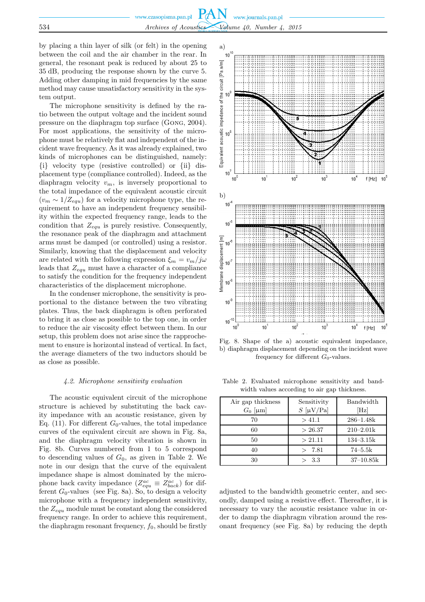by placing a thin layer of silk (or felt) in the opening between the coil and the air chamber in the rear. In general, the resonant peak is reduced by about 25 to 35 dB, producing the response shown by the curve 5. Adding other damping in mid frequencies by the same method may cause unsatisfactory sensitivity in the system output.

The microphone sensitivity is defined by the ratio between the output voltage and the incident sound pressure on the diaphragm top surface (Gong, 2004). For most applications, the sensitivity of the microphone must be relatively flat and independent of the incident wave frequency. As it was already explained, two kinds of microphones can be distinguished, namely: {i} velocity type (resistive controlled) or {ii} displacement type (compliance controlled). Indeed, as the diaphragm velocity  $v_m$ , is inversely proportional to the total impedance of the equivalent acoustic circuit  $(v_m \sim 1/Z_{equ})$  for a velocity microphone type, the requirement to have an independent frequency sensibility within the expected frequency range, leads to the condition that  $Z_{equ}$  is purely resistive. Consequently, the resonance peak of the diaphragm and attachment arms must be damped (or controlled) using a resistor. Similarly, knowing that the displacement and velocity are related with the following expression  $\xi_m = v_m / j\omega$ leads that  $Z_{equ}$  must have a character of a compliance to satisfy the condition for the frequency independent characteristics of the displacement microphone.

In the condenser microphone, the sensitivity is proportional to the distance between the two vibrating plates. Thus, the back diaphragm is often perforated to bring it as close as possible to the top one, in order to reduce the air viscosity effect between them. In our setup, this problem does not arise since the rapprochement to ensure is horizontal instead of vertical. In fact, the average diameters of the two inductors should be as close as possible.

#### *4.2. Microphone sensitivity evaluation*

The acoustic equivalent circuit of the microphone structure is achieved by substituting the back cavity impedance with an acoustic resistance, given by Eq. (11). For different  $G_0$ -values, the total impedance curves of the equivalent circuit are shown in Fig. 8a, and the diaphragm velocity vibration is shown in Fig. 8b. Curves numbered from 1 to 5 correspond to descending values of  $G_0$ , as given in Table 2. We note in our design that the curve of the equivalent impedance shape is almost dominated by the microphone back cavity impedance  $(Z_{equ}^{ac} \equiv Z_{back}^{ac})$  for different  $G_0$ -values (see Fig. 8a). So, to design a velocity microphone with a frequency independent sensitivity, the  $Z_{equ}$  module must be constant along the considered frequency range. In order to achieve this requirement, the diaphragm resonant frequency,  $f_0$ , should be firstly



Fig. 8. Shape of the a) acoustic equivalent impedance, b) diaphragm displacement depending on the incident wave frequency for different  $G_0$ -values.

Table 2. Evaluated microphone sensitivity and bandwidth values according to air gap thickness.

| Air gap thickness | Sensitivity | Bandwidth     |
|-------------------|-------------|---------------|
| $G_0$ [µm]        | $S$ [µV/Pa] | [Hz]          |
| 70                | > 41.1      | $286 - 1.48k$ |
| 60                | > 26.37     | $210 - 2.01k$ |
| 50                | > 21.11     | $134 - 3.15k$ |
| 40                | > 7.81      | $74 - 5.5k$   |
| 30                | - 3.3       | $37-10.85k$   |

adjusted to the bandwidth geometric center, and secondly, damped using a resistive effect. Thereafter, it is necessary to vary the acoustic resistance value in order to damp the diaphragm vibration around the resonant frequency (see Fig. 8a) by reducing the depth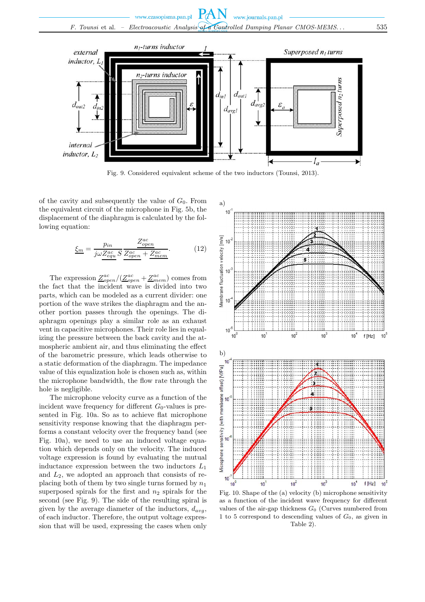

Fig. 9. Considered equivalent scheme of the two inductors (Tounsi, 2013).

of the cavity and subsequently the value of  $G_0$ . From the equivalent circuit of the microphone in Fig. 5b, the displacement of the diaphragm is calculated by the following equation:

$$
\underline{\xi_m} = \frac{p_{in}}{j\omega \underline{Z_{equ}^{ac}} S} \frac{\underline{Z_{open}^{ac}}}{\underline{Z_{open}^{ac}} + \underline{Z_{mem}^{ac}}}.
$$
(12)

The expression  $\mathcal{Z}^{ac}_{open}/(\mathcal{Z}^{ac}_{open}+\mathcal{Z}^{ac}_{mem})$  comes from the fact that the incident wave is divided into two parts, which can be modeled as a current divider: one portion of the wave strikes the diaphragm and the another portion passes through the openings. The diaphragm openings play a similar role as an exhaust vent in capacitive microphones. Their role lies in equalizing the pressure between the back cavity and the atmospheric ambient air, and thus eliminating the effect of the barometric pressure, which leads otherwise to a static deformation of the diaphragm. The impedance value of this equalization hole is chosen such as, within the microphone bandwidth, the flow rate through the hole is negligible.

The microphone velocity curve as a function of the incident wave frequency for different  $G_0$ -values is presented in Fig. 10a. So as to achieve flat microphone sensitivity response knowing that the diaphragm performs a constant velocity over the frequency band (see Fig. 10a), we need to use an induced voltage equation which depends only on the velocity. The induced voltage expression is found by evaluating the mutual inductance expression between the two inductors  $L_1$ and  $L_2$ , we adopted an approach that consists of replacing both of them by two single turns formed by  $n_1$ superposed spirals for the first and  $n_2$  spirals for the second (see Fig. 9). The side of the resulting spiral is given by the average diameter of the inductors,  $d_{ava}$ , of each inductor. Therefore, the output voltage expression that will be used, expressing the cases when only



Fig. 10. Shape of the (a) velocity (b) microphone sensitivity as a function of the incident wave frequency for different values of the air-gap thickness  $G_0$  (Curves numbered from 1 to 5 correspond to descending values of  $G_0$ , as given in Table 2).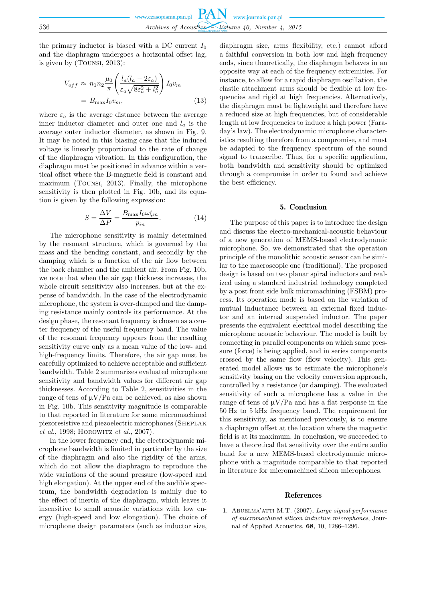the primary inductor is biased with a DC current  $I_0$ and the diaphragm undergoes a horizontal offset lag, is given by (Tounsi, 2013):

$$
V_{off} \approx n_1 n_2 \frac{\mu_0}{\pi} \left( \frac{l_a (l_a - 2\varepsilon_a)}{\varepsilon_a \sqrt{8\varepsilon_a^2 + l_a^2}} \right) I_0 v_m
$$
  
=  $B_{\text{max}} I_0 v_m$ , (13)

where  $\varepsilon_a$  is the average distance between the average inner inductor diameter and outer one and  $l_a$  is the average outer inductor diameter, as shown in Fig. 9. It may be noted in this biasing case that the induced voltage is linearly proportional to the rate of change of the diaphragm vibration. In this configuration, the diaphragm must be positioned in advance within a vertical offset where the B-magnetic field is constant and maximum (Tounsi, 2013). Finally, the microphone sensitivity is then plotted in Fig. 10b, and its equation is given by the following expression:

$$
S = \frac{\Delta V}{\Delta P} = \frac{B_{\text{max}} I_0 \omega \xi_m}{p_{in}}.
$$
 (14)

The microphone sensitivity is mainly determined by the resonant structure, which is governed by the mass and the bending constant, and secondly by the damping which is a function of the air flow between the back chamber and the ambient air. From Fig. 10b, we note that when the air gap thickness increases, the whole circuit sensitivity also increases, but at the expense of bandwidth. In the case of the electrodynamic microphone, the system is over-damped and the damping resistance mainly controls its performance. At the design phase, the resonant frequency is chosen as a center frequency of the useful frequency band. The value of the resonant frequency appears from the resulting sensitivity curve only as a mean value of the low- and high-frequency limits. Therefore, the air gap must be carefully optimized to achieve acceptable and sufficient bandwidth. Table 2 summarizes evaluated microphone sensitivity and bandwidth values for different air gap thicknesses. According to Table 2, sensitivities in the range of tens of  $\mu V/Pa$  can be achieved, as also shown in Fig. 10b. This sensitivity magnitude is comparable to that reported in literature for some micromachined piezoresistive and piezoelectric microphones (Sheplak *et al.*, 1998; HOROWITZ *et al.*, 2007).

In the lower frequency end, the electrodynamic microphone bandwidth is limited in particular by the size of the diaphragm and also the rigidity of the arms, which do not allow the diaphragm to reproduce the wide variations of the sound pressure (low-speed and high elongation). At the upper end of the audible spectrum, the bandwidth degradation is mainly due to the effect of inertia of the diaphragm, which leaves it insensitive to small acoustic variations with low energy (high-speed and low elongation). The choice of microphone design parameters (such as inductor size,

diaphragm size, arms flexibility, etc.) cannot afford a faithful conversion in both low and high frequency ends, since theoretically, the diaphragm behaves in an opposite way at each of the frequency extremities. For instance, to allow for a rapid diaphragm oscillation, the elastic attachment arms should be flexible at low frequencies and rigid at high frequencies. Alternatively, the diaphragm must be lightweight and therefore have a reduced size at high frequencies, but of considerable length at low frequencies to induce a high power (Faraday's law). The electrodynamic microphone characteristics resulting therefore from a compromise, and must be adapted to the frequency spectrum of the sound signal to transcribe. Thus, for a specific application, both bandwidth and sensitivity should be optimized through a compromise in order to found and achieve the best efficiency.

### 5. Conclusion

The purpose of this paper is to introduce the design and discuss the electro-mechanical-acoustic behaviour of a new generation of MEMS-based electrodynamic microphone. So, we demonstrated that the operation principle of the monolithic acoustic sensor can be similar to the macroscopic one (traditional). The proposed design is based on two planar spiral inductors and realized using a standard industrial technology completed by a post front side bulk micromachining (FSBM) process. Its operation mode is based on the variation of mutual inductance between an external fixed inductor and an internal suspended inductor. The paper presents the equivalent electrical model describing the microphone acoustic behaviour. The model is built by connecting in parallel components on which same pressure (force) is being applied, and in series components crossed by the same flow (flow velocity). This generated model allows us to estimate the microphone's sensitivity basing on the velocity conversion approach, controlled by a resistance (or damping). The evaluated sensitivity of such a microphone has a value in the range of tens of  $\mu V/Pa$  and has a flat response in the 50 Hz to 5 kHz frequency band. The requirement for this sensitivity, as mentioned previously, is to ensure a diaphragm offset at the location where the magnetic field is at its maximum. In conclusion, we succeeded to have a theoretical flat sensitivity over the entire audio band for a new MEMS-based electrodynamic microphone with a magnitude comparable to that reported in literature for micromachined silicon microphones.

#### References

1. Abuelma'atti M.T. (2007), *Large signal performance of micromachined silicon inductive microphones*, Journal of Applied Acoustics, **68**, 10, 1286–1296.